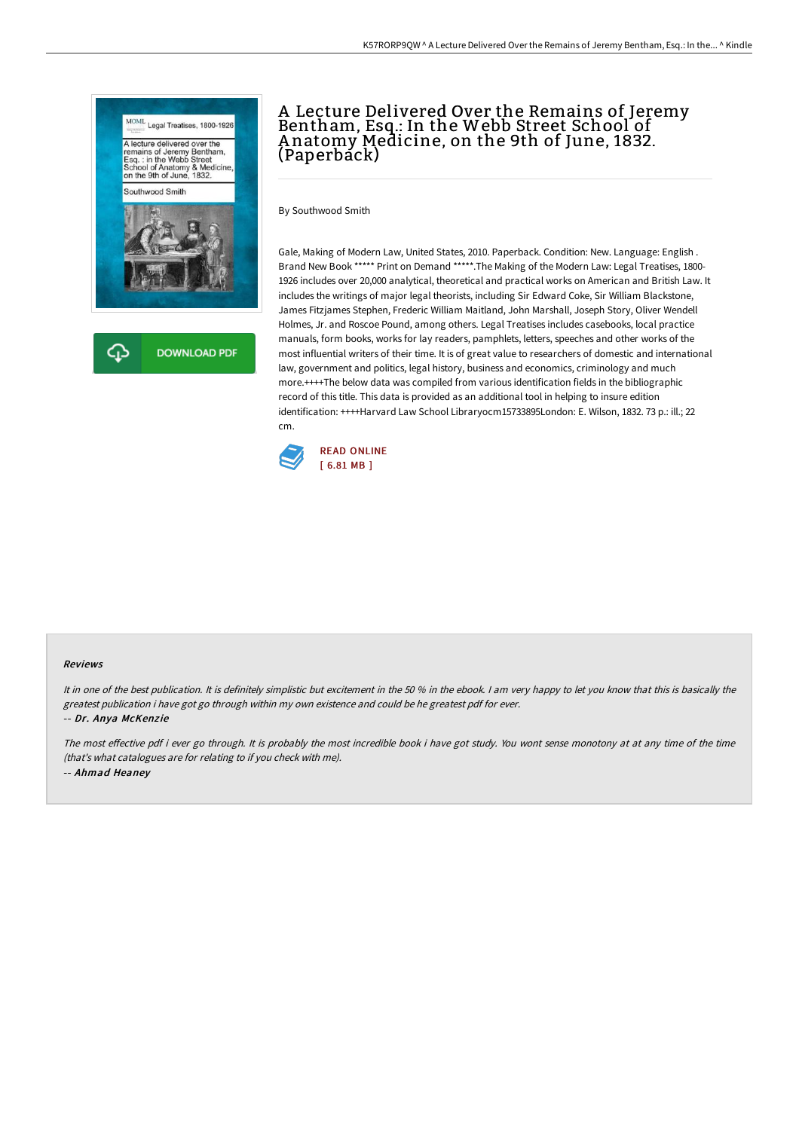

⊕ **DOWNLOAD PDF** 

## A Lecture Delivered Over the Remains of Jeremy Bentham, Esq.: In the Webb Street School of A natomy Medicine, on the 9th of June, 1832. (Paperback)

By Southwood Smith

Gale, Making of Modern Law, United States, 2010. Paperback. Condition: New. Language: English . Brand New Book \*\*\*\*\* Print on Demand \*\*\*\*\*.The Making of the Modern Law: Legal Treatises, 1800- 1926 includes over 20,000 analytical, theoretical and practical works on American and British Law. It includes the writings of major legal theorists, including Sir Edward Coke, Sir William Blackstone, James Fitzjames Stephen, Frederic William Maitland, John Marshall, Joseph Story, Oliver Wendell Holmes, Jr. and Roscoe Pound, among others. Legal Treatises includes casebooks, local practice manuals, form books, works for lay readers, pamphlets, letters, speeches and other works of the most influential writers of their time. It is of great value to researchers of domestic and international law, government and politics, legal history, business and economics, criminology and much more.++++The below data was compiled from various identification fields in the bibliographic record of this title. This data is provided as an additional tool in helping to insure edition identification: ++++Harvard Law School Libraryocm15733895London: E. Wilson, 1832. 73 p.: ill.; 22 cm.



## Reviews

It in one of the best publication. It is definitely simplistic but excitement in the 50 % in the ebook. I am very happy to let you know that this is basically the greatest publication i have got go through within my own existence and could be he greatest pdf for ever. -- Dr. Anya McKenzie

The most effective pdf i ever go through. It is probably the most incredible book i have got study. You wont sense monotony at at any time of the time (that's what catalogues are for relating to if you check with me). -- Ahmad Heaney